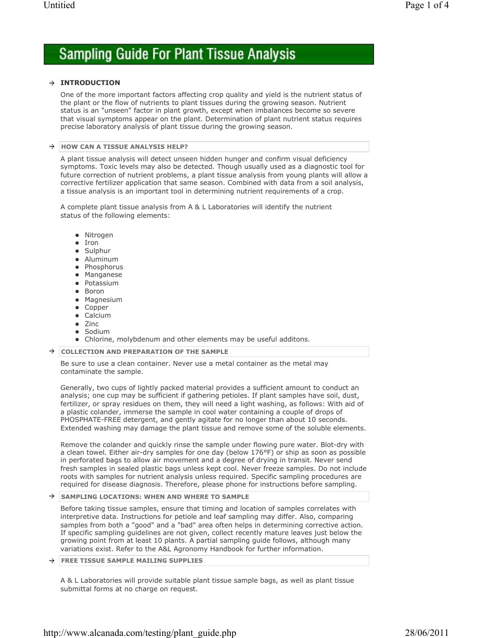# **Sampling Guide For Plant Tissue Analysis**

### **INTRODUCTION**

One of the more important factors affecting crop quality and yield is the nutrient status of the plant or the flow of nutrients to plant tissues during the growing season. Nutrient status is an "unseen" factor in plant growth, except when imbalances become so severe that visual symptoms appear on the plant. Determination of plant nutrient status requires precise laboratory analysis of plant tissue during the growing season.

#### $\rightarrow$  HOW CAN A TISSUE ANALYSIS HELP?

A plant tissue analysis will detect unseen hidden hunger and confirm visual deficiency symptoms. Toxic levels may also be detected. Though usually used as a diagnostic tool for future correction of nutrient problems, a plant tissue analysis from young plants will allow a corrective fertilizer application that same season. Combined with data from a soil analysis, a tissue analysis is an important tool in determining nutrient requirements of a crop.

A complete plant tissue analysis from A & L Laboratories will identify the nutrient status of the following elements:

- Nitrogen
- Iron
- Sulphur
- Aluminum
- Phosphorus
- Manganese
- Potassium
- Boron
- Magnesium
- Copper
- Calcium
- Zinc
- Sodium
- Chlorine, molybdenum and other elements may be useful additons.
- **COLLECTION AND PREPARATION OF THE SAMPLE**

Be sure to use a clean container. Never use a metal container as the metal may contaminate the sample.

Generally, two cups of lightly packed material provides a sufficient amount to conduct an analysis; one cup may be sufficient if gathering petioles. If plant samples have soil, dust, fertilizer, or spray residues on them, they will need a light washing, as follows: With aid of a plastic colander, immerse the sample in cool water containing a couple of drops of PHOSPHATE-FREE detergent, and gently agitate for no longer than about 10 seconds. Extended washing may damage the plant tissue and remove some of the soluble elements.

Remove the colander and quickly rinse the sample under flowing pure water. Blot-dry with a clean towel. Either air-dry samples for one day (below 176°F) or ship as soon as possible in perforated bags to allow air movement and a degree of drying in transit. Never send fresh samples in sealed plastic bags unless kept cool. Never freeze samples. Do not include roots with samples for nutrient analysis unless required. Specific sampling procedures are required for disease diagnosis. Therefore, please phone for instructions before sampling.

## $\rightarrow$  SAMPLING LOCATIONS: WHEN AND WHERE TO SAMPLE

Before taking tissue samples, ensure that timing and location of samples correlates with interpretive data. Instructions for petiole and leaf sampling may differ. Also, comparing samples from both a "good" and a "bad" area often helps in determining corrective action. If specific sampling guidelines are not given, collect recently mature leaves just below the growing point from at least 10 plants. A partial sampling guide follows, although many variations exist. Refer to the A&L Agronomy Handbook for further information.

#### **FREE TISSUE SAMPLE MAILING SUPPLIES** →

A & L Laboratories will provide suitable plant tissue sample bags, as well as plant tissue submittal forms at no charge on request.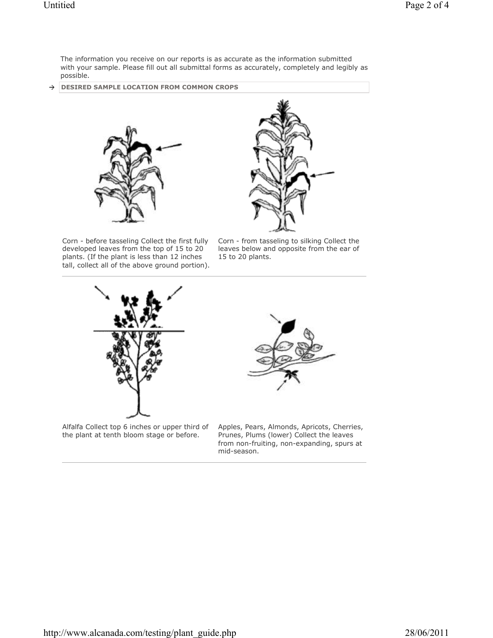The information you receive on our reports is as accurate as the information submitted with your sample. Please fill out all submittal forms as accurately, completely and legibly as possible.

**DESIRED SAMPLE LOCATION FROM COMMON CROPS**  $\rightarrow$ 





Corn - before tasseling Collect the first fully developed leaves from the top of 15 to 20 plants. (If the plant is less than 12 inches tall, collect all of the above ground portion).

Corn - from tasseling to silking Collect the leaves below and opposite from the ear of 15 to 20 plants.



Prunes, Plums (lower) Collect the leaves from non-fruiting, non-expanding, spurs at mid-season.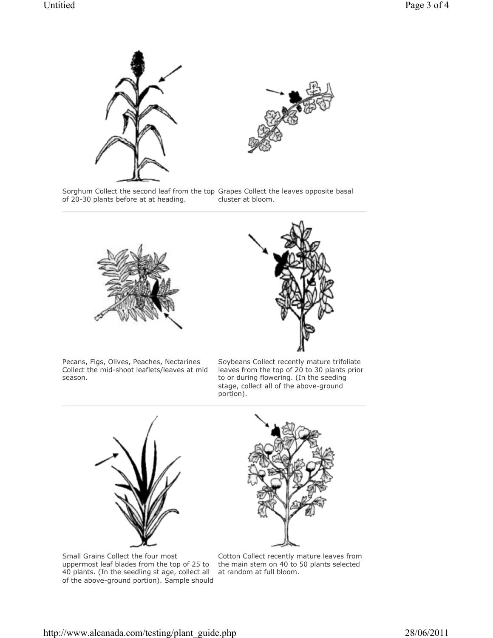



Sorghum Collect the second leaf from the top Grapes Collect the leaves opposite basal of 20-30 plants before at at heading. cluster at bloom.





Pecans, Figs, Olives, Peaches, Nectarines Collect the mid-shoot leaflets/leaves at mid season.

Soybeans Collect recently mature trifoliate leaves from the top of 20 to 30 plants prior to or during flowering. (In the seeding stage, collect all of the above-ground portion).



Small Grains Collect the four most uppermost leaf blades from the top of 25 to 40 plants. (In the seedling st age, collect all of the above-ground portion). Sample should



Cotton Collect recently mature leaves from the main stem on 40 to 50 plants selected at random at full bloom.